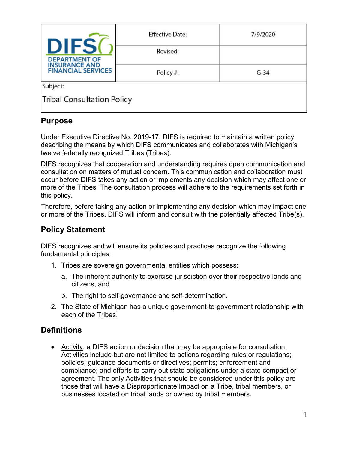| <b>DIFS</b><br><b>DEPARTMENT OF</b><br><b>INSURANCE AND</b><br><b>FINANCIAL SERVICES</b> | <b>Effective Date:</b> | 7/9/2020 |  |  |
|------------------------------------------------------------------------------------------|------------------------|----------|--|--|
|                                                                                          | Revised:               |          |  |  |
|                                                                                          | Policy#:               | $G-34$   |  |  |
| Subject:                                                                                 |                        |          |  |  |
| <b>Tribal Consultation Policy</b>                                                        |                        |          |  |  |

### **Purpose**

Under Executive Directive No. 2019-17, DIFS is required to maintain a written policy describing the means by which DIFS communicates and collaborates with Michigan's twelve federally recognized Tribes (Tribes).

DIFS recognizes that cooperation and understanding requires open communication and consultation on matters of mutual concern. This communication and collaboration must occur before DIFS takes any action or implements any decision which may affect one or more of the Tribes. The consultation process will adhere to the requirements set forth in this policy.

Therefore, before taking any action or implementing any decision which may impact one or more of the Tribes, DIFS will inform and consult with the potentially affected Tribe(s).

## **Policy Statement**

DIFS recognizes and will ensure its policies and practices recognize the following fundamental principles:

- 1. Tribes are sovereign governmental entities which possess:
	- a. The inherent authority to exercise jurisdiction over their respective lands and citizens, and
	- b. The right to self-governance and self-determination.
- 2. The State of Michigan has a unique government-to-government relationship with each of the Tribes.

## **Definitions**

• Activity: a DIFS action or decision that may be appropriate for consultation. Activities include but are not limited to actions regarding rules or regulations; policies; guidance documents or directives; permits; enforcement and compliance; and efforts to carry out state obligations under a state compact or agreement. The only Activities that should be considered under this policy are those that will have a Disproportionate Impact on a Tribe, tribal members, or businesses located on tribal lands or owned by tribal members.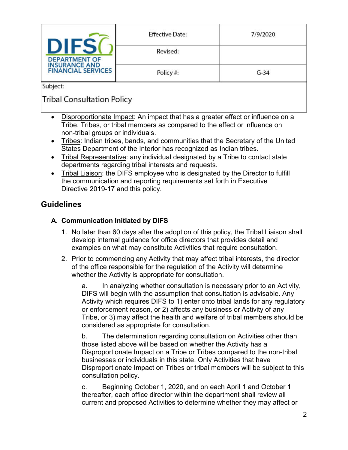| <b>DEPARTMENT OF</b><br><b>INSURANCE AND</b><br><b>FINANCIAL SERVICES</b> | <b>Effective Date:</b> | 7/9/2020 |
|---------------------------------------------------------------------------|------------------------|----------|
|                                                                           | Revised:               |          |
|                                                                           | Policy#:               | $G-34$   |
| Subject:                                                                  |                        |          |

# **Tribal Consultation Policy**

- Disproportionate Impact: An impact that has a greater effect or influence on a Tribe, Tribes, or tribal members as compared to the effect or influence on non-tribal groups or individuals.
- Tribes: Indian tribes, bands, and communities that the Secretary of the United States Department of the Interior has recognized as Indian tribes.
- Tribal Representative: any individual designated by a Tribe to contact state departments regarding tribal interests and requests.
- Tribal Liaison: the DIFS employee who is designated by the Director to fulfill the communication and reporting requirements set forth in Executive Directive 2019-17 and this policy.

## **Guidelines**

### **A. Communication Initiated by DIFS**

- 1. No later than 60 days after the adoption of this policy, the Tribal Liaison shall develop internal guidance for office directors that provides detail and examples on what may constitute Activities that require consultation.
- 2. Prior to commencing any Activity that may affect tribal interests, the director of the office responsible for the regulation of the Activity will determine whether the Activity is appropriate for consultation.

a. In analyzing whether consultation is necessary prior to an Activity, DIFS will begin with the assumption that consultation is advisable. Any Activity which requires DIFS to 1) enter onto tribal lands for any regulatory or enforcement reason, or 2) affects any business or Activity of any Tribe, or 3) may affect the health and welfare of tribal members should be considered as appropriate for consultation.

b. The determination regarding consultation on Activities other than those listed above will be based on whether the Activity has a Disproportionate Impact on a Tribe or Tribes compared to the non-tribal businesses or individuals in this state. Only Activities that have Disproportionate Impact on Tribes or tribal members will be subject to this consultation policy.

c. Beginning October 1, 2020, and on each April 1 and October 1 thereafter, each office director within the department shall review all current and proposed Activities to determine whether they may affect or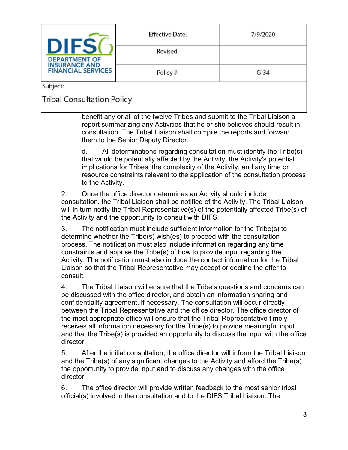| <b>DEPARTMENT OF</b><br><b>INSURANCE AND</b><br><b>FINANCIAL SERVICES</b> | <b>Effective Date:</b> | 7/9/2020 |
|---------------------------------------------------------------------------|------------------------|----------|
|                                                                           | Revised:               |          |
|                                                                           | Policy#:               | $G-34$   |
| Subject:                                                                  |                        |          |

# **Tribal Consultation Policy**

benefit any or all of the twelve Tribes and submit to the Tribal Liaison a report summarizing any Activities that he or she believes should result in consultation. The Tribal Liaison shall compile the reports and forward them to the Senior Deputy Director.

d. All determinations regarding consultation must identify the Tribe(s) that would be potentially affected by the Activity, the Activity's potential implications for Tribes, the complexity of the Activity, and any time or resource constraints relevant to the application of the consultation process to the Activity.

2. Once the office director determines an Activity should include consultation, the Tribal Liaison shall be notified of the Activity. The Tribal Liaison will in turn notify the Tribal Representative(s) of the potentially affected Tribe(s) of the Activity and the opportunity to consult with DIFS.

3. The notification must include sufficient information for the Tribe(s) to determine whether the Tribe(s) wish(es) to proceed with the consultation process. The notification must also include information regarding any time constraints and apprise the Tribe(s) of how to provide input regarding the Activity. The notification must also include the contact information for the Tribal Liaison so that the Tribal Representative may accept or decline the offer to consult.

4. The Tribal Liaison will ensure that the Tribe's questions and concerns can be discussed with the office director, and obtain an information sharing and confidentiality agreement, if necessary. The consultation will occur directly between the Tribal Representative and the office director. The office director of the most appropriate office will ensure that the Tribal Representative timely receives all information necessary for the Tribe(s) to provide meaningful input and that the Tribe(s) is provided an opportunity to discuss the input with the office director.

5. After the initial consultation, the office director will inform the Tribal Liaison and the Tribe(s) of any significant changes to the Activity and afford the Tribe(s) the opportunity to provide input and to discuss any changes with the office director.

6. The office director will provide written feedback to the most senior tribal official(s) involved in the consultation and to the DIFS Tribal Liaison. The